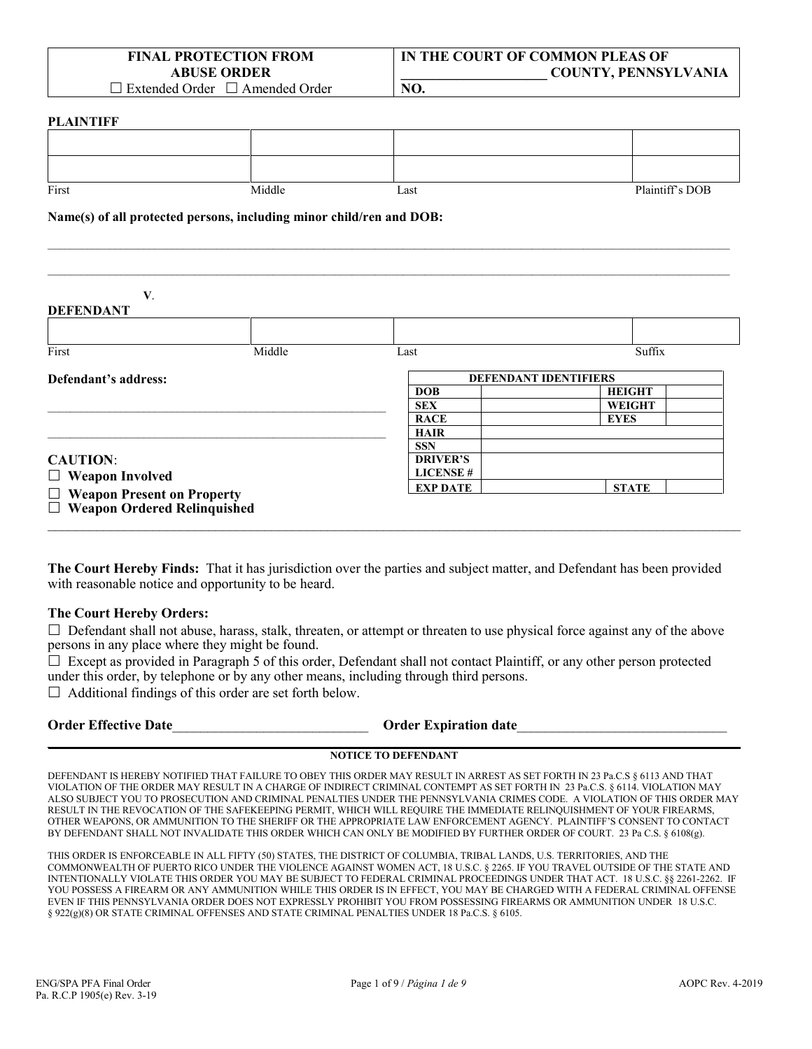| <b>FINAL PROTECTION FROM</b>               |
|--------------------------------------------|
| <b>ABUSE ORDER</b>                         |
| $\Box$ Extended Order $\Box$ Amended Order |

**IN THE COURT OF COMMON PLEAS OF \_\_\_\_\_\_\_\_\_\_\_\_\_\_\_\_\_\_\_\_\_ COUNTY, PENNSYLVANIA**

□ Extended Order □ Amended Order

#### **PLAINTIFF**

| **********                                                           |        |                           |                 |  |  |
|----------------------------------------------------------------------|--------|---------------------------|-----------------|--|--|
|                                                                      |        |                           |                 |  |  |
|                                                                      |        |                           |                 |  |  |
| First                                                                | Middle | Last                      | Plaintiff's DOB |  |  |
| Name(s) of all protected persons, including minor child/ren and DOB: |        |                           |                 |  |  |
|                                                                      |        |                           |                 |  |  |
|                                                                      |        |                           |                 |  |  |
| V.<br><b>DEFENDANT</b>                                               |        |                           |                 |  |  |
|                                                                      |        |                           |                 |  |  |
| $\mathbf{r}$                                                         | 3.411  | $\mathbf{r}$ $\mathbf{r}$ | $\sim$ $\sim$   |  |  |

**NO.**

| Defendant's address:               |  |                 | <b>DEFENDANT IDENTIFIERS</b> |
|------------------------------------|--|-----------------|------------------------------|
|                                    |  | <b>DOB</b>      | <b>HEIGHT</b>                |
|                                    |  | <b>SEX</b>      | <b>WEIGHT</b>                |
|                                    |  | <b>RACE</b>     | <b>EYES</b>                  |
|                                    |  | <b>HAIR</b>     |                              |
|                                    |  | <b>SSN</b>      |                              |
| <b>CAUTION:</b>                    |  | <b>DRIVER'S</b> |                              |
| $\Box$ Weapon Involved             |  | <b>LICENSE#</b> |                              |
| $\Box$ Weapon Present on Property  |  | <b>EXP DATE</b> | <b>STATE</b>                 |
| $\Box$ Weapon Ordered Relinquished |  |                 |                              |

**The Court Hereby Finds:** That it has jurisdiction over the parties and subject matter, and Defendant has been provided with reasonable notice and opportunity to be heard.

#### **The Court Hereby Orders:**

 $\Box$  Defendant shall not abuse, harass, stalk, threaten, or attempt or threaten to use physical force against any of the above persons in any place where they might be found.

 $\Box$  Except as provided in Paragraph 5 of this order, Defendant shall not contact Plaintiff, or any other person protected under this order, by telephone or by any other means, including through third persons.

 $\Box$  Additional findings of this order are set forth below.

| <b>Order Effective Date</b> | <b>Order Expiration date</b> |  |
|-----------------------------|------------------------------|--|
|                             |                              |  |

#### **NOTICE TO DEFENDANT**

DEFENDANT IS HEREBY NOTIFIED THAT FAILURE TO OBEY THIS ORDER MAY RESULT IN ARREST AS SET FORTH IN 23 Pa.C.S § 6113 AND THAT VIOLATION OF THE ORDER MAY RESULT IN A CHARGE OF INDIRECT CRIMINAL CONTEMPT AS SET FORTH IN 23 Pa.C.S. § 6114. VIOLATION MAY ALSO SUBJECT YOU TO PROSECUTION AND CRIMINAL PENALTIES UNDER THE PENNSYLVANIA CRIMES CODE. A VIOLATION OF THIS ORDER MAY RESULT IN THE REVOCATION OF THE SAFEKEEPING PERMIT, WHICH WILL REQUIRE THE IMMEDIATE RELINQUISHMENT OF YOUR FIREARMS, OTHER WEAPONS, OR AMMUNITION TO THE SHERIFF OR THE APPROPRIATE LAW ENFORCEMENT AGENCY. PLAINTIFF'S CONSENT TO CONTACT BY DEFENDANT SHALL NOT INVALIDATE THIS ORDER WHICH CAN ONLY BE MODIFIED BY FURTHER ORDER OF COURT. 23 Pa C.S. § 6108(g).

THIS ORDER IS ENFORCEABLE IN ALL FIFTY (50) STATES, THE DISTRICT OF COLUMBIA, TRIBAL LANDS, U.S. TERRITORIES, AND THE COMMONWEALTH OF PUERTO RICO UNDER THE VIOLENCE AGAINST WOMEN ACT, 18 U.S.C. § 2265. IF YOU TRAVEL OUTSIDE OF THE STATE AND INTENTIONALLY VIOLATE THIS ORDER YOU MAY BE SUBJECT TO FEDERAL CRIMINAL PROCEEDINGS UNDER THAT ACT. 18 U.S.C. §§ 2261-2262. IF YOU POSSESS A FIREARM OR ANY AMMUNITION WHILE THIS ORDER IS IN EFFECT, YOU MAY BE CHARGED WITH A FEDERAL CRIMINAL OFFENSE EVEN IF THIS PENNSYLVANIA ORDER DOES NOT EXPRESSLY PROHIBIT YOU FROM POSSESSING FIREARMS OR AMMUNITION UNDER 18 U.S.C. § 922(g)(8) OR STATE CRIMINAL OFFENSES AND STATE CRIMINAL PENALTIES UNDER 18 Pa.C.S. § 6105.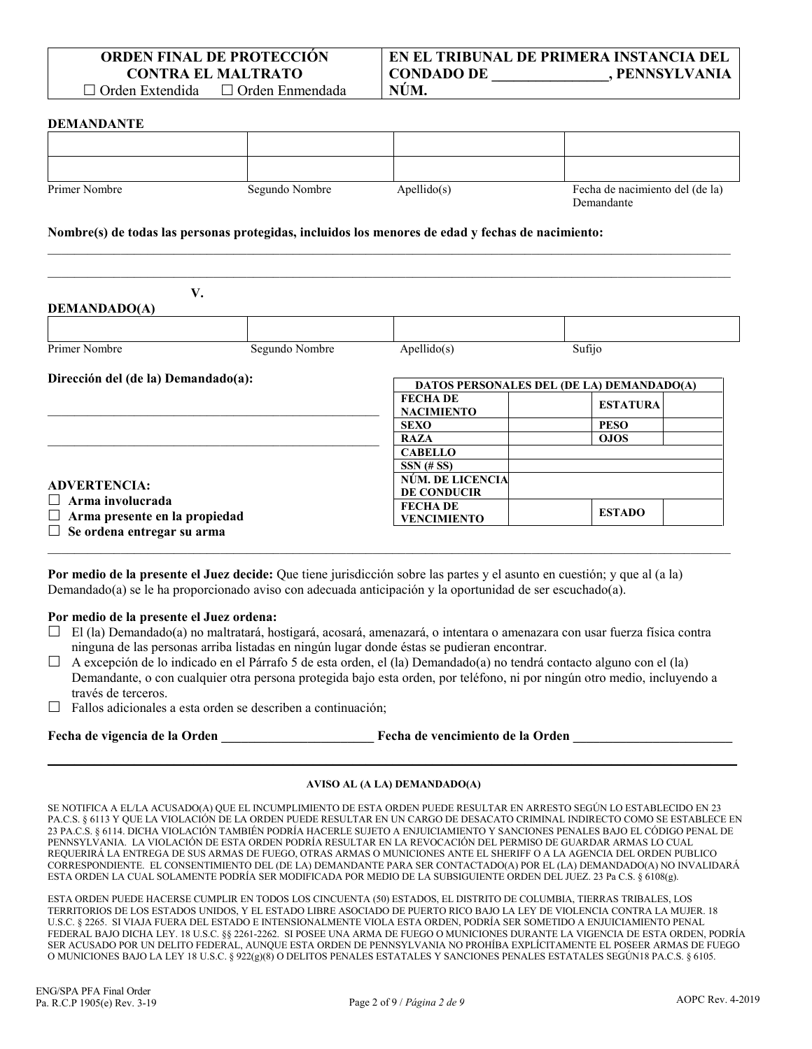#### **DEMANDANTE**

| Primer Nombre | Segundo Nombre | Apellido(s) | Fecha de nacimiento del (de la)<br>Demandante |
|---------------|----------------|-------------|-----------------------------------------------|

 $\mathcal{L}_\mathcal{L} = \{ \mathcal{L}_\mathcal{L} = \{ \mathcal{L}_\mathcal{L} = \{ \mathcal{L}_\mathcal{L} = \{ \mathcal{L}_\mathcal{L} = \{ \mathcal{L}_\mathcal{L} = \{ \mathcal{L}_\mathcal{L} = \{ \mathcal{L}_\mathcal{L} = \{ \mathcal{L}_\mathcal{L} = \{ \mathcal{L}_\mathcal{L} = \{ \mathcal{L}_\mathcal{L} = \{ \mathcal{L}_\mathcal{L} = \{ \mathcal{L}_\mathcal{L} = \{ \mathcal{L}_\mathcal{L} = \{ \mathcal{L}_\mathcal{$  $\mathcal{L}_\mathcal{L} = \{ \mathcal{L}_\mathcal{L} = \{ \mathcal{L}_\mathcal{L} = \{ \mathcal{L}_\mathcal{L} = \{ \mathcal{L}_\mathcal{L} = \{ \mathcal{L}_\mathcal{L} = \{ \mathcal{L}_\mathcal{L} = \{ \mathcal{L}_\mathcal{L} = \{ \mathcal{L}_\mathcal{L} = \{ \mathcal{L}_\mathcal{L} = \{ \mathcal{L}_\mathcal{L} = \{ \mathcal{L}_\mathcal{L} = \{ \mathcal{L}_\mathcal{L} = \{ \mathcal{L}_\mathcal{L} = \{ \mathcal{L}_\mathcal{$ 

#### **Nombre(s) de todas las personas protegidas, incluidos los menores de edad y fechas de nacimiento:**

| <b>DEMANDADO(A)</b>                                                                    | V.             |                                      |                                           |
|----------------------------------------------------------------------------------------|----------------|--------------------------------------|-------------------------------------------|
| Primer Nombre                                                                          | Segundo Nombre | Apellido(s)                          | Sufijo                                    |
| Dirección del (de la) Demandado(a):                                                    |                |                                      | DATOS PERSONALES DEL (DE LA) DEMANDADO(A) |
|                                                                                        |                | <b>FECHADE</b><br><b>NACIMIENTO</b>  | <b>ESTATURA</b>                           |
|                                                                                        |                | <b>SEXO</b>                          | <b>PESO</b>                               |
|                                                                                        |                | <b>RAZA</b>                          | <b>OJOS</b>                               |
|                                                                                        |                | <b>CABELLO</b>                       |                                           |
|                                                                                        |                | $SSN$ (# SS)                         |                                           |
| <b>ADVERTENCIA:</b><br>$\Box$ Arma involucrada<br>$\Box$ Arma presente en la propiedad |                | NÚM. DE LICENCIA                     |                                           |
|                                                                                        |                | <b>DE CONDUCIR</b>                   |                                           |
|                                                                                        |                | <b>FECHADE</b><br><b>VENCIMIENTO</b> | <b>ESTADO</b>                             |
| $\Box$ Se ordena entregar su arma                                                      |                |                                      |                                           |

**Por medio de la presente el Juez decide:** Que tiene jurisdicción sobre las partes y el asunto en cuestión; y que al (a la) Demandado(a) se le ha proporcionado aviso con adecuada anticipación y la oportunidad de ser escuchado(a).

#### **Por medio de la presente el Juez ordena:**

 $\Box$  El (la) Demandado(a) no maltratará, hostigará, acosará, amenazará, o intentara o amenazara con usar fuerza física contra ninguna de las personas arriba listadas en ningún lugar donde éstas se pudieran encontrar.

 $\mathcal{L}_\mathcal{L} = \mathcal{L}_\mathcal{L} = \mathcal{L}_\mathcal{L} = \mathcal{L}_\mathcal{L} = \mathcal{L}_\mathcal{L} = \mathcal{L}_\mathcal{L} = \mathcal{L}_\mathcal{L} = \mathcal{L}_\mathcal{L} = \mathcal{L}_\mathcal{L} = \mathcal{L}_\mathcal{L} = \mathcal{L}_\mathcal{L} = \mathcal{L}_\mathcal{L} = \mathcal{L}_\mathcal{L} = \mathcal{L}_\mathcal{L} = \mathcal{L}_\mathcal{L} = \mathcal{L}_\mathcal{L} = \mathcal{L}_\mathcal{L}$ 

- $\Box$  A excepción de lo indicado en el Párrafo 5 de esta orden, el (la) Demandado(a) no tendrá contacto alguno con el (la) Demandante, o con cualquier otra persona protegida bajo esta orden, por teléfono, ni por ningún otro medio, incluyendo a través de terceros.
- $\Box$  Fallos adicionales a esta orden se describen a continuación;

**Fecha de vigencia de la Orden \_\_\_\_\_\_\_\_\_\_\_\_\_\_\_\_\_\_\_\_\_\_\_ Fecha de vencimiento de la Orden \_\_\_\_\_\_\_\_\_\_\_\_\_\_\_\_\_\_\_\_\_\_\_\_**

# **\_\_\_\_\_\_\_\_\_\_\_\_\_\_\_\_\_\_\_\_\_\_\_\_\_\_\_\_\_\_\_\_\_\_\_\_\_\_\_\_\_\_\_\_\_\_\_\_\_\_\_\_\_\_\_\_\_\_\_\_\_\_\_\_\_\_\_\_\_\_\_\_\_\_\_\_\_\_\_\_\_\_\_\_\_\_\_\_\_\_\_\_\_\_\_\_\_\_\_\_\_\_\_\_ AVISO AL (A LA) DEMANDADO(A)**

SE NOTIFICA A EL/LA ACUSADO(A) QUE EL INCUMPLIMIENTO DE ESTA ORDEN PUEDE RESULTAR EN ARRESTO SEGÚN LO ESTABLECIDO EN 23 PA.C.S. § 6113 Y QUE LA VIOLACIÓN DE LA ORDEN PUEDE RESULTAR EN UN CARGO DE DESACATO CRIMINAL INDIRECTO COMO SE ESTABLECE EN 23 PA.C.S. § 6114. DICHA VIOLACIÓN TAMBIÉN PODRÍA HACERLE SUJETO A ENJUICIAMIENTO Y SANCIONES PENALES BAJO EL CÓDIGO PENAL DE PENNSYLVANIA. LA VIOLACIÓN DE ESTA ORDEN PODRÍA RESULTAR EN LA REVOCACIÓN DEL PERMISO DE GUARDAR ARMAS LO CUAL REQUERIRÁ LA ENTREGA DE SUS ARMAS DE FUEGO, OTRAS ARMAS O MUNICIONES ANTE EL SHERIFF O A LA AGENCIA DEL ORDEN PUBLICO CORRESPONDIENTE. EL CONSENTIMIENTO DEL (DE LA) DEMANDANTE PARA SER CONTACTADO(A) POR EL (LA) DEMANDADO(A) NO INVALIDARÁ ESTA ORDEN LA CUAL SOLAMENTE PODRÍA SER MODIFICADA POR MEDIO DE LA SUBSIGUIENTE ORDEN DEL JUEZ. 23 Pa C.S. § 6108(g).

ESTA ORDEN PUEDE HACERSE CUMPLIR EN TODOS LOS CINCUENTA (50) ESTADOS, EL DISTRITO DE COLUMBIA, TIERRAS TRIBALES, LOS TERRITORIOS DE LOS ESTADOS UNIDOS, Y EL ESTADO LIBRE ASOCIADO DE PUERTO RICO BAJO LA LEY DE VIOLENCIA CONTRA LA MUJER. 18 U.S.C. § 2265. SI VIAJA FUERA DEL ESTADO E INTENSIONALMENTE VIOLA ESTA ORDEN, PODRÍA SER SOMETIDO A ENJUICIAMIENTO PENAL FEDERAL BAJO DICHA LEY. 18 U.S.C. §§ 2261-2262. SI POSEE UNA ARMA DE FUEGO O MUNICIONES DURANTE LA VIGENCIA DE ESTA ORDEN, PODRÍA SER ACUSADO POR UN DELITO FEDERAL, AUNQUE ESTA ORDEN DE PENNSYLVANIA NO PROHÍBA EXPLÍCITAMENTE EL POSEER ARMAS DE FUEGO O MUNICIONES BAJO LA LEY 18 U.S.C. § 922(g)(8) O DELITOS PENALES ESTATALES Y SANCIONES PENALES ESTATALES SEGÚN18 PA.C.S. § 6105.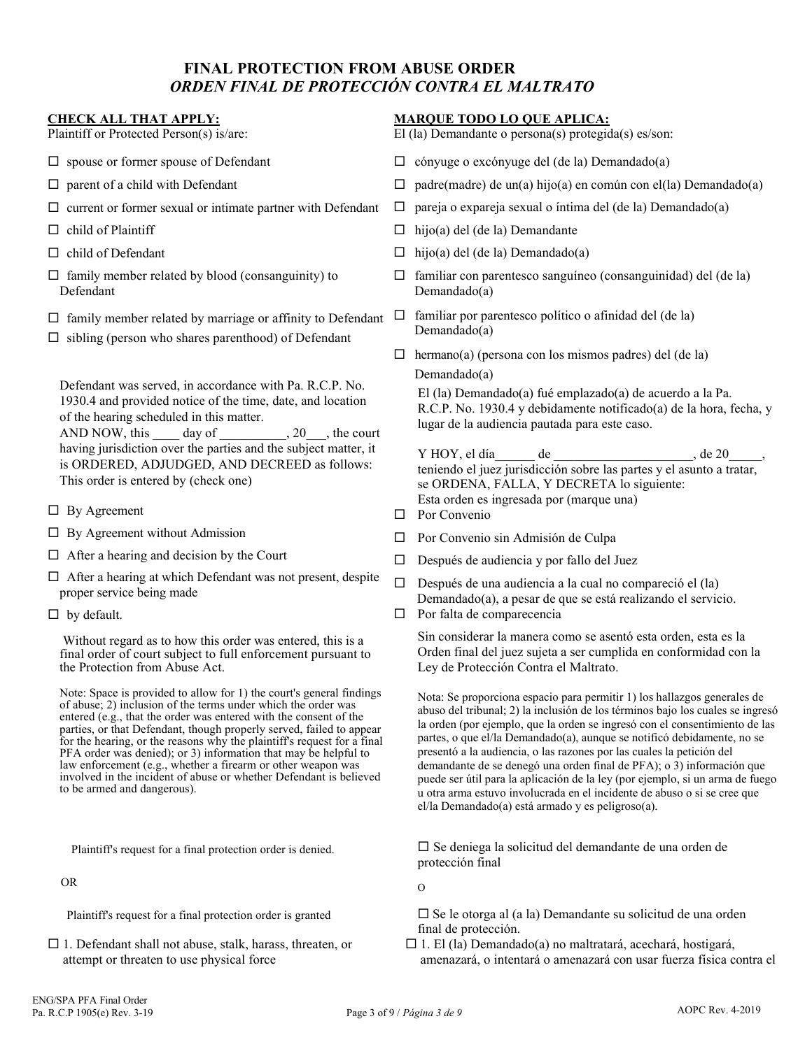# **FINAL PROTECTION FROM ABUSE ORDER**  *ORDEN FINAL DE PROTECCIÓN CONTRA EL MALTRATO*

#### **CHECK ALL THAT APPLY:**

Plaintiff or Protected Person(s) is/are:

- $\square$  spouse or former spouse of Defendant
- $\square$  parent of a child with Defendant
- $\square$  current or former sexual or intimate partner with Defendant
- $\Box$  child of Plaintiff
- $\Box$  child of Defendant
- $\Box$  family member related by blood (consanguinity) to Defendant
- $\Box$  family member related by marriage or affinity to Defendant
- $\Box$  sibling (person who shares parenthood) of Defendant

Defendant was served, in accordance with Pa. R.C.P. No. 1930.4 and provided notice of the time, date, and location of the hearing scheduled in this matter.

AND NOW, this day of , 20 , the court having jurisdiction over the parties and the subject matter, it is ORDERED, ADJUDGED, AND DECREED as follows: This order is entered by (check one)

- $\Box$  By Agreement
- $\Box$  By Agreement without Admission
- $\Box$  After a hearing and decision by the Court
- $\Box$  After a hearing at which Defendant was not present, despite proper service being made
- $\Box$  by default.

Without regard as to how this order was entered, this is a final order of court subject to full enforcement pursuant to the Protection from Abuse Act.

Note: Space is provided to allow for 1) the court's general findings of abuse; 2) inclusion of the terms under which the order was entered (e.g., that the order was entered with the consent of the parties, or that Defendant, though properly served, failed to appear for the hearing, or the reasons why the plaintiff's request for a final PFA order was denied); or 3) information that may be helpful to law enforcement (e.g., whether a firearm or other weapon was involved in the incident of abuse or whether Defendant is believed to be armed and dangerous).

Plaintiff's request for a final protection order is denied.

OR

Plaintiff's request for a final protection order is granted

 $\Box$  1. Defendant shall not abuse, stalk, harass, threaten, or attempt or threaten to use physical force

### **MARQUE TODO LO QUE APLICA:**

El (la) Demandante o persona(s) protegida(s) es/son:

- $\Box$  cónyuge o excónyuge del (de la) Demandado(a)
- $\Box$  padre(madre) de un(a) hijo(a) en común con el(la) Demandado(a)
- $\Box$  pareja o expareja sexual o íntima del (de la) Demandado(a)
- $\Box$  hijo(a) del (de la) Demandante
- $\Box$  hijo(a) del (de la) Demandado(a)
- $\Box$  familiar con parentesco sanguíneo (consanguinidad) del (de la) Demandado(a)
- $\Box$  familiar por parentesco político o afinidad del (de la) Demandado(a)
- $\Box$  hermano(a) (persona con los mismos padres) del (de la) Demandado(a)

El (la) Demandado(a) fué emplazado(a) de acuerdo a la Pa. R.C.P. No. 1930.4 y debidamente notificado(a) de la hora, fecha, y lugar de la audiencia pautada para este caso.

Y HOY, el día \_\_\_\_\_\_ de \_\_\_\_\_\_\_\_\_\_\_\_\_\_\_\_\_\_\_\_\_, de 20\_ teniendo el juez jurisdicción sobre las partes y el asunto a tratar, se ORDENA, FALLA, Y DECRETA lo siguiente: Esta orden es ingresada por (marque una)

- **D** Por Convenio
- $\Box$  Por Convenio sin Admisión de Culpa
- Después de audiencia y por fallo del Juez
- $\square$  Después de una audiencia a la cual no compareció el  $(la)$ Demandado(a), a pesar de que se está realizando el servicio.  $\Box$  Por falta de comparecencia

Sin considerar la manera como se asentó esta orden, esta es la Orden final del juez sujeta a ser cumplida en conformidad con la Ley de Protección Contra el Maltrato.

Nota: Se proporciona espacio para permitir 1) los hallazgos generales de abuso del tribunal; 2) la inclusión de los términos bajo los cuales se ingresó la orden (por ejemplo, que la orden se ingresó con el consentimiento de las partes, o que el/la Demandado(a), aunque se notificó debidamente, no se presentó a la audiencia, o las razones por las cuales la petición del demandante de se denegó una orden final de PFA); o 3) información que puede ser útil para la aplicación de la ley (por ejemplo, si un arma de fuego u otra arma estuvo involucrada en el incidente de abuso o si se cree que el/la Demandado(a) está armado y es peligroso(a).

 $\square$  Se deniega la solicitud del demandante de una orden de protección final

O

- $\square$  Se le otorga al (a la) Demandante su solicitud de una orden final de protección.
- $\Box$  1. El (la) Demandado(a) no maltratará, acechará, hostigará, amenazará, o intentará o amenazará con usar fuerza física contra el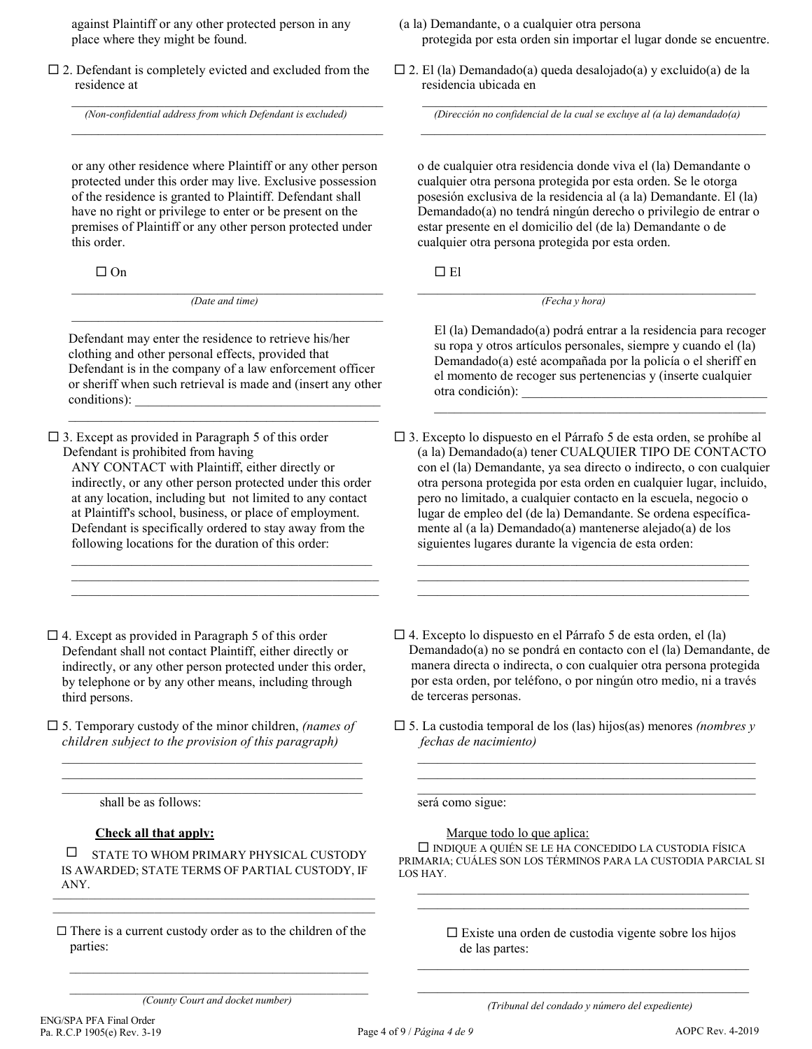against Plaintiff or any other protected person in any place where they might be found.

 $\square$  2. Defendant is completely evicted and excluded from the residence at

 $\mathcal{L}_\text{max}$  and  $\mathcal{L}_\text{max}$  and  $\mathcal{L}_\text{max}$  and  $\mathcal{L}_\text{max}$  and  $\mathcal{L}_\text{max}$ *(Non-confidential address from which Defendant is excluded)*

 $\mathcal{L}_\mathcal{L}$  , and the set of the set of the set of the set of the set of the set of the set of the set of the set of the set of the set of the set of the set of the set of the set of the set of the set of the set of th

or any other residence where Plaintiff or any other person protected under this order may live. Exclusive possession of the residence is granted to Plaintiff. Defendant shall have no right or privilege to enter or be present on the premises of Plaintiff or any other person protected under this order.

 $\Box$  On

 $\_$  . The contribution of the contribution of  $\mathcal{L}_\mathcal{A}$ *(Date and time)*  $\mathcal{L}_\mathcal{L}$  , and the set of the set of the set of the set of the set of the set of the set of the set of the set of the set of the set of the set of the set of the set of the set of the set of the set of the set of th

Defendant may enter the residence to retrieve his/her clothing and other personal effects, provided that Defendant is in the company of a law enforcement officer or sheriff when such retrieval is made and (insert any other conditions):

\_\_\_\_\_\_\_\_\_\_\_\_\_\_\_\_\_\_\_\_\_\_\_\_\_\_\_\_\_\_\_\_\_\_\_\_\_\_\_\_\_\_\_\_\_\_\_

 $\square$  3. Except as provided in Paragraph 5 of this order Defendant is prohibited from having

ANY CONTACT with Plaintiff, either directly or indirectly, or any other person protected under this order at any location, including but not limited to any contact at Plaintiff's school, business, or place of employment. Defendant is specifically ordered to stay away from the following locations for the duration of this order:

 $\_$  . The contribution of the contribution of  $\mathcal{L}_\mathcal{A}$ \_\_\_\_\_\_\_\_\_\_\_\_\_\_\_\_\_\_\_\_\_\_\_\_\_\_\_\_\_\_\_\_\_\_\_\_\_\_\_\_\_\_\_\_\_\_  $\_$  , and the set of the set of the set of the set of the set of the set of the set of the set of the set of the set of the set of the set of the set of the set of the set of the set of the set of the set of the set of th

- $\Box$  4. Except as provided in Paragraph 5 of this order Defendant shall not contact Plaintiff, either directly or indirectly, or any other person protected under this order, by telephone or by any other means, including through third persons.
- 5. Temporary custody of the minor children, *(names of children subject to the provision of this paragraph)*

 $\_$  . The contribution of the contribution of  $\mathcal{L}_\mathcal{A}$ \_\_\_\_\_\_\_\_\_\_\_\_\_\_\_\_\_\_\_\_\_\_\_\_\_\_\_\_\_\_\_\_\_\_\_\_\_\_\_\_\_\_\_\_\_ \_\_\_\_\_\_\_\_\_\_\_\_\_\_\_\_\_\_\_\_\_\_\_\_\_\_\_\_\_\_\_\_\_\_\_\_\_\_\_\_\_\_\_\_\_

shall be as follows:

### **Check all that apply:**

 $\square$  STATE TO WHOM PRIMARY PHYSICAL CUSTODY IS AWARDED; STATE TERMS OF PARTIAL CUSTODY, IF ANY.  $\frac{1}{2}$ 

 $\mathcal{L}_\text{max}$  and  $\mathcal{L}_\text{max}$  and  $\mathcal{L}_\text{max}$  and  $\mathcal{L}_\text{max}$  and  $\mathcal{L}_\text{max}$ 

 $\square$  There is a current custody order as to the children of the parties:

- (a la) Demandante, o a cualquier otra persona protegida por esta orden sin importar el lugar donde se encuentre.
- $\square$  2. El (la) Demandado(a) queda desalojado(a) y excluido(a) de la residencia ubicada en

 $\mathcal{L}_\text{max} = \mathcal{L}_\text{max} = \mathcal{L}_\text{max} = \mathcal{L}_\text{max} = \mathcal{L}_\text{max} = \mathcal{L}_\text{max} = \mathcal{L}_\text{max} = \mathcal{L}_\text{max}$ *(Dirección no confidencial de la cual se excluye al (a la) demandado(a)*  $\_$  , and the set of the set of the set of the set of the set of the set of the set of the set of the set of the set of the set of the set of the set of the set of the set of the set of the set of the set of the set of th

o de cualquier otra residencia donde viva el (la) Demandante o cualquier otra persona protegida por esta orden. Se le otorga posesión exclusiva de la residencia al (a la) Demandante. El (la) Demandado(a) no tendrá ningún derecho o privilegio de entrar o estar presente en el domicilio del (de la) Demandante o de cualquier otra persona protegida por esta orden.

 $\Box$  El

\_\_\_\_\_\_\_\_\_\_\_\_\_\_\_\_\_\_\_\_\_\_\_\_\_\_\_\_\_\_\_\_\_\_\_\_\_\_\_\_\_\_\_\_\_\_\_\_\_\_\_ *(Fecha y hora)*

El (la) Demandado(a) podrá entrar a la residencia para recoger su ropa y otros artículos personales, siempre y cuando el (la) Demandado(a) esté acompañada por la policía o el sheriff en el momento de recoger sus pertenencias y (inserte cualquier otra condición):

\_\_\_\_\_\_\_\_\_\_\_\_\_\_\_\_\_\_\_\_\_\_\_\_\_\_\_\_\_\_\_\_\_\_\_\_\_\_\_\_\_\_\_\_\_\_\_\_\_\_

 3. Excepto lo dispuesto en el Párrafo 5 de esta orden, se prohíbe al (a la) Demandado(a) tener CUALQUIER TIPO DE CONTACTO con el (la) Demandante, ya sea directo o indirecto, o con cualquier otra persona protegida por esta orden en cualquier lugar, incluido, pero no limitado, a cualquier contacto en la escuela, negocio o lugar de empleo del (de la) Demandante. Se ordena específicamente al (a la) Demandado(a) mantenerse alejado(a) de los siguientes lugares durante la vigencia de esta orden:

\_\_\_\_\_\_\_\_\_\_\_\_\_\_\_\_\_\_\_\_\_\_\_\_\_\_\_\_\_\_\_\_\_\_\_\_\_\_\_\_\_\_\_\_\_\_\_\_\_\_ \_\_\_\_\_\_\_\_\_\_\_\_\_\_\_\_\_\_\_\_\_\_\_\_\_\_\_\_\_\_\_\_\_\_\_\_\_\_\_\_\_\_\_\_\_\_\_\_\_\_ \_\_\_\_\_\_\_\_\_\_\_\_\_\_\_\_\_\_\_\_\_\_\_\_\_\_\_\_\_\_\_\_\_\_\_\_\_\_\_\_\_\_\_\_\_\_\_\_\_\_

- $\Box$  4. Excepto lo dispuesto en el Párrafo 5 de esta orden, el (la) Demandado(a) no se pondrá en contacto con el (la) Demandante, de manera directa o indirecta, o con cualquier otra persona protegida por esta orden, por teléfono, o por ningún otro medio, ni a través de terceras personas.
- 5. La custodia temporal de los (las) hijos(as) menores *(nombres y fechas de nacimiento)*

\_\_\_\_\_\_\_\_\_\_\_\_\_\_\_\_\_\_\_\_\_\_\_\_\_\_\_\_\_\_\_\_\_\_\_\_\_\_\_\_\_\_\_\_\_\_\_\_\_\_\_ \_\_\_\_\_\_\_\_\_\_\_\_\_\_\_\_\_\_\_\_\_\_\_\_\_\_\_\_\_\_\_\_\_\_\_\_\_\_\_\_\_\_\_\_\_\_\_\_\_\_\_ \_\_\_\_\_\_\_\_\_\_\_\_\_\_\_\_\_\_\_\_\_\_\_\_\_\_\_\_\_\_\_\_\_\_\_\_\_\_\_\_\_\_\_\_\_\_\_\_\_\_\_

será como sigue:

Marque todo lo que aplica:

 $\square$  INDIQUE A QUIÉN SE LE HA CONCEDIDO LA CUSTODIA FÍSICA PRIMARIA; CUÁLES SON LOS TÉRMINOS PARA LA CUSTODIA PARCIAL SI LOS HAY.

\_\_\_\_\_\_\_\_\_\_\_\_\_\_\_\_\_\_\_\_\_\_\_\_\_\_\_\_\_\_\_\_\_\_\_\_\_\_\_\_\_\_\_\_\_\_\_\_\_\_  $\mathcal{L}_\text{max} = \mathcal{L}_\text{max} = \mathcal{L}_\text{max} = \mathcal{L}_\text{max} = \mathcal{L}_\text{max} = \mathcal{L}_\text{max} = \mathcal{L}_\text{max} = \mathcal{L}_\text{max}$ 

 $\square$  Existe una orden de custodia vigente sobre los hijos de las partes:

 $\mathcal{L}_\text{max} = \mathcal{L}_\text{max} = \mathcal{L}_\text{max} = \mathcal{L}_\text{max} = \mathcal{L}_\text{max} = \mathcal{L}_\text{max} = \mathcal{L}_\text{max} = \mathcal{L}_\text{max}$ *(Tribunal del condado y número del expediente)* 

 $\mathcal{L}_\text{max}$  and  $\mathcal{L}_\text{max}$  and  $\mathcal{L}_\text{max}$  and  $\mathcal{L}_\text{max}$  and  $\mathcal{L}_\text{max}$ 

 $\mathcal{L}_\text{max}$  and  $\mathcal{L}_\text{max}$  and  $\mathcal{L}_\text{max}$  and  $\mathcal{L}_\text{max}$  and  $\mathcal{L}_\text{max}$ *(County Court and docket number)*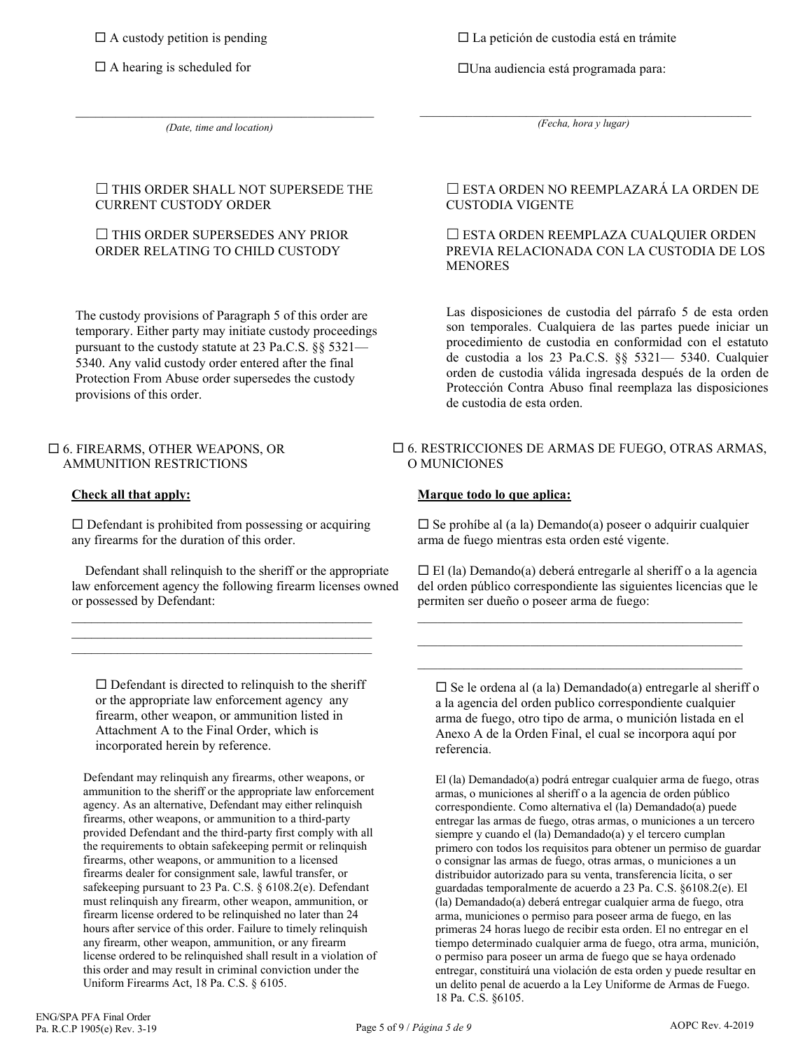$\Box$  A custody petition is pending

 $\Box$  A hearing is scheduled for

La petición de custodia está en trámite

Una audiencia está programada para:

*(Date, time and location)*

\_\_\_\_\_\_\_\_\_\_\_\_\_\_\_\_\_\_\_\_\_\_\_\_\_\_\_\_\_\_\_\_\_\_\_\_\_\_\_\_\_\_\_\_\_

\_\_\_\_\_\_\_\_\_\_\_\_\_\_\_\_\_\_\_\_\_\_\_\_\_\_\_\_\_\_\_\_\_\_\_\_\_\_\_\_\_\_\_\_\_\_\_\_\_\_ *(Fecha, hora y lugar)*

### $\square$  THIS ORDER SHALL NOT SUPERSEDE THE CURRENT CUSTODY ORDER

### $\Box$  THIS ORDER SUPERSEDES ANY PRIOR ORDER RELATING TO CHILD CUSTODY

The custody provisions of Paragraph 5 of this order are temporary. Either party may initiate custody proceedings pursuant to the custody statute at 23 Pa.C.S. §§ 5321— 5340. Any valid custody order entered after the final Protection From Abuse order supersedes the custody provisions of this order.

### 6. FIREARMS, OTHER WEAPONS, OR AMMUNITION RESTRICTIONS

# **Check all that apply:**

 $\square$  Defendant is prohibited from possessing or acquiring any firearms for the duration of this order.

 $\overline{a_1}$  ,  $\overline{a_2}$  ,  $\overline{a_3}$  ,  $\overline{a_4}$  ,  $\overline{a_5}$  ,  $\overline{a_6}$  ,  $\overline{a_7}$  ,  $\overline{a_8}$  ,  $\overline{a_9}$  ,  $\overline{a_9}$  ,  $\overline{a_1}$  ,  $\overline{a_2}$  ,  $\overline{a_3}$  ,  $\overline{a_4}$  ,  $\overline{a_5}$  ,  $\overline{a_7}$  ,  $\overline{a_8}$  ,  $\mathcal{L}_\text{max}$  and  $\mathcal{L}_\text{max}$  and  $\mathcal{L}_\text{max}$  and  $\mathcal{L}_\text{max}$  and  $\mathcal{L}_\text{max}$  $\overline{a}$  , and the set of the set of the set of the set of the set of the set of the set of the set of the set of the set of the set of the set of the set of the set of the set of the set of the set of the set of the set

 Defendant shall relinquish to the sheriff or the appropriate law enforcement agency the following firearm licenses owned or possessed by Defendant:

 $\square$  Defendant is directed to relinquish to the sheriff or the appropriate law enforcement agency any firearm, other weapon, or ammunition listed in Attachment A to the Final Order, which is incorporated herein by reference.

Defendant may relinquish any firearms, other weapons, or ammunition to the sheriff or the appropriate law enforcement agency. As an alternative, Defendant may either relinquish firearms, other weapons, or ammunition to a third-party provided Defendant and the third-party first comply with all the requirements to obtain safekeeping permit or relinquish firearms, other weapons, or ammunition to a licensed firearms dealer for consignment sale, lawful transfer, or safekeeping pursuant to 23 Pa. C.S. § 6108.2(e). Defendant must relinquish any firearm, other weapon, ammunition, or firearm license ordered to be relinquished no later than 24 hours after service of this order. Failure to timely relinquish any firearm, other weapon, ammunition, or any firearm license ordered to be relinquished shall result in a violation of this order and may result in criminal conviction under the Uniform Firearms Act, 18 Pa. C.S. § 6105.

# ESTA ORDEN NO REEMPLAZARÁ LA ORDEN DE CUSTODIA VIGENTE

### ESTA ORDEN REEMPLAZA CUALQUIER ORDEN PREVIA RELACIONADA CON LA CUSTODIA DE LOS **MENORES**

Las disposiciones de custodia del párrafo 5 de esta orden son temporales. Cualquiera de las partes puede iniciar un procedimiento de custodia en conformidad con el estatuto de custodia a los 23 Pa.C.S. §§ 5321— 5340. Cualquier orden de custodia válida ingresada después de la orden de Protección Contra Abuso final reemplaza las disposiciones de custodia de esta orden.

### 6. RESTRICCIONES DE ARMAS DE FUEGO, OTRAS ARMAS, O MUNICIONES

# **Marque todo lo que aplica:**

 $\square$  Se prohíbe al (a la) Demando(a) poseer o adquirir cualquier arma de fuego mientras esta orden esté vigente.

 $\Box$  El (la) Demando(a) deberá entregarle al sheriff o a la agencia del orden público correspondiente las siguientes licencias que le permiten ser dueño o poseer arma de fuego:

 $\_$  ,  $\_$  ,  $\_$  ,  $\_$  ,  $\_$  ,  $\_$  ,  $\_$  ,  $\_$  ,  $\_$  ,  $\_$  ,  $\_$  ,  $\_$  ,  $\_$  ,  $\_$  ,  $\_$  ,  $\_$  $\mathcal{L}_\text{max}$  and  $\mathcal{L}_\text{max}$  and  $\mathcal{L}_\text{max}$  and  $\mathcal{L}_\text{max}$  and  $\mathcal{L}_\text{max}$  $\mathcal{L}_\text{max}$  and  $\mathcal{L}_\text{max}$  and  $\mathcal{L}_\text{max}$  and  $\mathcal{L}_\text{max}$  and  $\mathcal{L}_\text{max}$ 

 $\square$  Se le ordena al (a la) Demandado(a) entregarle al sheriff o a la agencia del orden publico correspondiente cualquier arma de fuego, otro tipo de arma, o munición listada en el Anexo A de la Orden Final, el cual se incorpora aquí por referencia.

El (la) Demandado(a) podrá entregar cualquier arma de fuego, otras armas, o municiones al sheriff o a la agencia de orden público correspondiente. Como alternativa el (la) Demandado(a) puede entregar las armas de fuego, otras armas, o municiones a un tercero siempre y cuando el (la) Demandado(a) y el tercero cumplan primero con todos los requisitos para obtener un permiso de guardar o consignar las armas de fuego, otras armas, o municiones a un distribuidor autorizado para su venta, transferencia lícita, o ser guardadas temporalmente de acuerdo a 23 Pa. C.S. §6108.2(e). El (la) Demandado(a) deberá entregar cualquier arma de fuego, otra arma, municiones o permiso para poseer arma de fuego, en las primeras 24 horas luego de recibir esta orden. El no entregar en el tiempo determinado cualquier arma de fuego, otra arma, munición, o permiso para poseer un arma de fuego que se haya ordenado entregar, constituirá una violación de esta orden y puede resultar en un delito penal de acuerdo a la Ley Uniforme de Armas de Fuego. 18 Pa. C.S. §6105.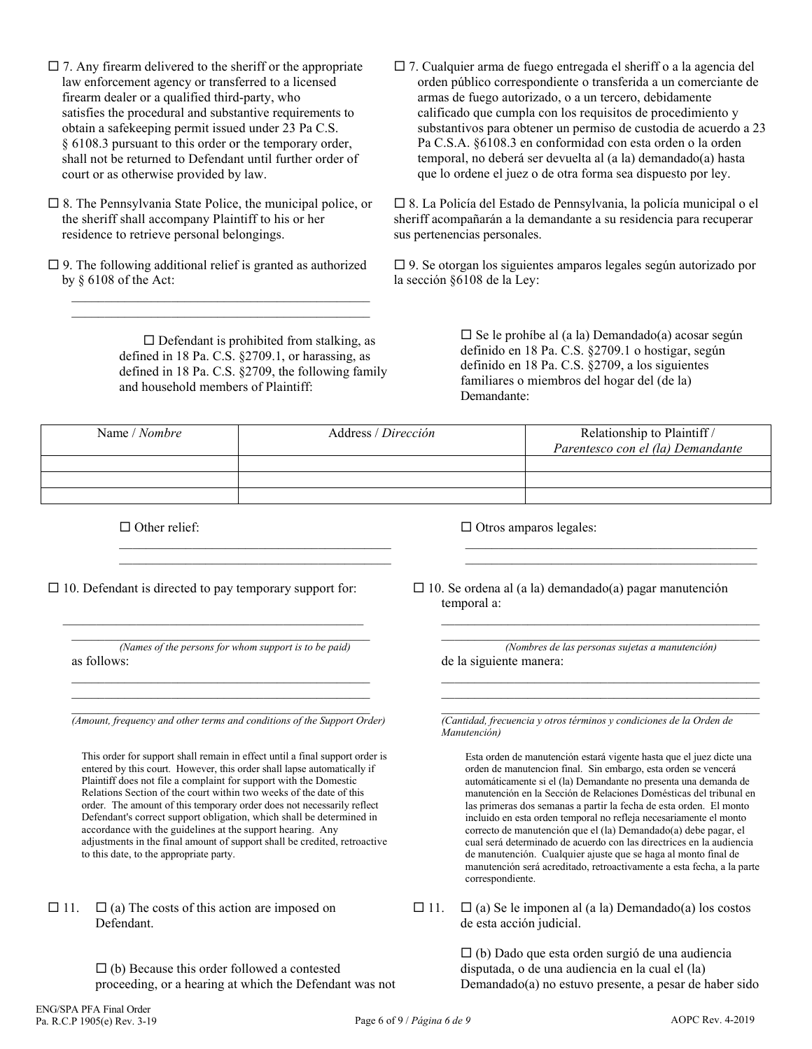- $\square$  7. Any firearm delivered to the sheriff or the appropriate law enforcement agency or transferred to a licensed firearm dealer or a qualified third-party, who satisfies the procedural and substantive requirements to obtain a safekeeping permit issued under 23 Pa C.S. § 6108.3 pursuant to this order or the temporary order, shall not be returned to Defendant until further order of court or as otherwise provided by law.
- $\square$  8. The Pennsylvania State Police, the municipal police, or the sheriff shall accompany Plaintiff to his or her residence to retrieve personal belongings.
- $\square$  9. The following additional relief is granted as authorized by § 6108 of the Act:

 $\mathcal{L}_\text{max}$  and  $\mathcal{L}_\text{max}$  and  $\mathcal{L}_\text{max}$  and  $\mathcal{L}_\text{max}$  and  $\mathcal{L}_\text{max}$  $\mathcal{L}_\text{max}$  and  $\mathcal{L}_\text{max}$  and  $\mathcal{L}_\text{max}$  and  $\mathcal{L}_\text{max}$  and  $\mathcal{L}_\text{max}$ 

> $\square$  Defendant is prohibited from stalking, as defined in 18 Pa. C.S. §2709.1, or harassing, as defined in 18 Pa. C.S. §2709, the following family and household members of Plaintiff:

> $\mathcal{L}_\text{max}$  and  $\mathcal{L}_\text{max}$  and  $\mathcal{L}_\text{max}$  and  $\mathcal{L}_\text{max}$  $\mathcal{L}_\mathcal{L}$  , and the set of the set of the set of the set of the set of the set of the set of the set of the set of the set of the set of the set of the set of the set of the set of the set of the set of the set of th

 7. Cualquier arma de fuego entregada el sheriff o a la agencia del orden público correspondiente o transferida a un comerciante de armas de fuego autorizado, o a un tercero, debidamente calificado que cumpla con los requisitos de procedimiento y substantivos para obtener un permiso de custodia de acuerdo a 23 Pa C.S.A. §6108.3 en conformidad con esta orden o la orden temporal, no deberá ser devuelta al (a la) demandado(a) hasta que lo ordene el juez o de otra forma sea dispuesto por ley.

 8. La Policía del Estado de Pennsylvania, la policía municipal o el sheriff acompañarán a la demandante a su residencia para recuperar sus pertenencias personales.

 9. Se otorgan los siguientes amparos legales según autorizado por la sección §6108 de la Ley:

> $\Box$  Se le prohíbe al (a la) Demandado(a) acosar según definido en 18 Pa. C.S. §2709.1 o hostigar, según definido en 18 Pa. C.S. §2709, a los siguientes familiares o miembros del hogar del (de la) Demandante:

 $\mathcal{L}_\text{max}$  and  $\mathcal{L}_\text{max}$  and  $\mathcal{L}_\text{max}$  and  $\mathcal{L}_\text{max}$  and  $\mathcal{L}_\text{max}$  $\mathcal{L}_\mathcal{L}$  , and the set of the set of the set of the set of the set of the set of the set of the set of the set of the set of the set of the set of the set of the set of the set of the set of the set of the set of th

| Name / Nombre | Address / Dirección | Relationship to Plaintiff /<br>Parentesco con el (la) Demandante |
|---------------|---------------------|------------------------------------------------------------------|
|               |                     |                                                                  |
|               |                     |                                                                  |
|               |                     |                                                                  |

 $\Box$  Other relief:

 $\Box$  10. Defendant is directed to pay temporary support for:

 $\mathcal{L}_\mathcal{L}$  , and the set of the set of the set of the set of the set of the set of the set of the set of the set of the set of the set of the set of the set of the set of the set of the set of the set of the set of th

\_\_\_\_\_\_\_\_\_\_\_\_\_\_\_\_\_\_\_\_\_\_\_\_\_\_\_\_\_\_\_\_\_\_\_\_\_\_\_\_\_\_\_\_\_ *(Names of the persons for whom support is to be paid)* as follows:  $\mathcal{L}_\text{max}$  and  $\mathcal{L}_\text{max}$  and  $\mathcal{L}_\text{max}$  and  $\mathcal{L}_\text{max}$  and  $\mathcal{L}_\text{max}$ 

\_\_\_\_\_\_\_\_\_\_\_\_\_\_\_\_\_\_\_\_\_\_\_\_\_\_\_\_\_\_\_\_\_\_\_\_\_\_\_\_\_\_\_\_\_

\_\_\_\_\_\_\_\_\_\_\_\_\_\_\_\_\_\_\_\_\_\_\_\_\_\_\_\_\_\_\_\_\_\_\_\_\_\_\_\_\_\_\_\_\_ *(Amount, frequency and other terms and conditions of the Support Order)*

This order for support shall remain in effect until a final support order is entered by this court. However, this order shall lapse automatically if Plaintiff does not file a complaint for support with the Domestic Relations Section of the court within two weeks of the date of this order. The amount of this temporary order does not necessarily reflect Defendant's correct support obligation, which shall be determined in accordance with the guidelines at the support hearing. Any adjustments in the final amount of support shall be credited, retroactive to this date, to the appropriate party.

- $\Box$  11.  $\Box$  (a) The costs of this action are imposed on Defendant.
	- $\square$  (b) Because this order followed a contested proceeding, or a hearing at which the Defendant was not

 $\Box$  Otros amparos legales:

 $\Box$  10. Se ordena al (a la) demandado(a) pagar manutención temporal a:

*(Nombres de las personas sujetas a manutención)* de la siguiente manera:

 $\mathcal{L}_\mathcal{L} = \{ \mathcal{L}_\mathcal{L} = \{ \mathcal{L}_\mathcal{L} = \{ \mathcal{L}_\mathcal{L} = \{ \mathcal{L}_\mathcal{L} = \{ \mathcal{L}_\mathcal{L} = \{ \mathcal{L}_\mathcal{L} = \{ \mathcal{L}_\mathcal{L} = \{ \mathcal{L}_\mathcal{L} = \{ \mathcal{L}_\mathcal{L} = \{ \mathcal{L}_\mathcal{L} = \{ \mathcal{L}_\mathcal{L} = \{ \mathcal{L}_\mathcal{L} = \{ \mathcal{L}_\mathcal{L} = \{ \mathcal{L}_\mathcal{$  $\mathcal{L}_\text{max}$  and  $\mathcal{L}_\text{max}$  and  $\mathcal{L}_\text{max}$  and  $\mathcal{L}_\text{max}$  and  $\mathcal{L}_\text{max}$ 

 $\mathcal{L}_\text{max}$  and  $\mathcal{L}_\text{max}$  and  $\mathcal{L}_\text{max}$  and  $\mathcal{L}_\text{max}$  and  $\mathcal{L}_\text{max}$  $\mathcal{L}_\mathcal{L}$  , and the set of the set of the set of the set of the set of the set of the set of the set of the set of the set of the set of the set of the set of the set of the set of the set of the set of the set of th  $\mathcal{L}_\mathcal{L}$  , and the set of the set of the set of the set of the set of the set of the set of the set of the set of the set of the set of the set of the set of the set of the set of the set of the set of the set of th

*(Cantidad, frecuencia y otros términos y condiciones de la Orden de Manutención)*

Esta orden de manutención estará vigente hasta que el juez dicte una orden de manutencion final. Sin embargo, esta orden se vencerá automáticamente si el (la) Demandante no presenta una demanda de manutención en la Sección de Relaciones Domésticas del tribunal en las primeras dos semanas a partir la fecha de esta orden. El monto incluido en esta orden temporal no refleja necesariamente el monto correcto de manutención que el (la) Demandado(a) debe pagar, el cual será determinado de acuerdo con las directrices en la audiencia de manutención. Cualquier ajuste que se haga al monto final de manutención será acreditado, retroactivamente a esta fecha, a la parte correspondiente.

 $\Box$  11.  $\Box$  (a) Se le imponen al (a la) Demandado(a) los costos de esta acción judicial.

> $\Box$  (b) Dado que esta orden surgió de una audiencia disputada, o de una audiencia en la cual el (la) Demandado(a) no estuvo presente, a pesar de haber sido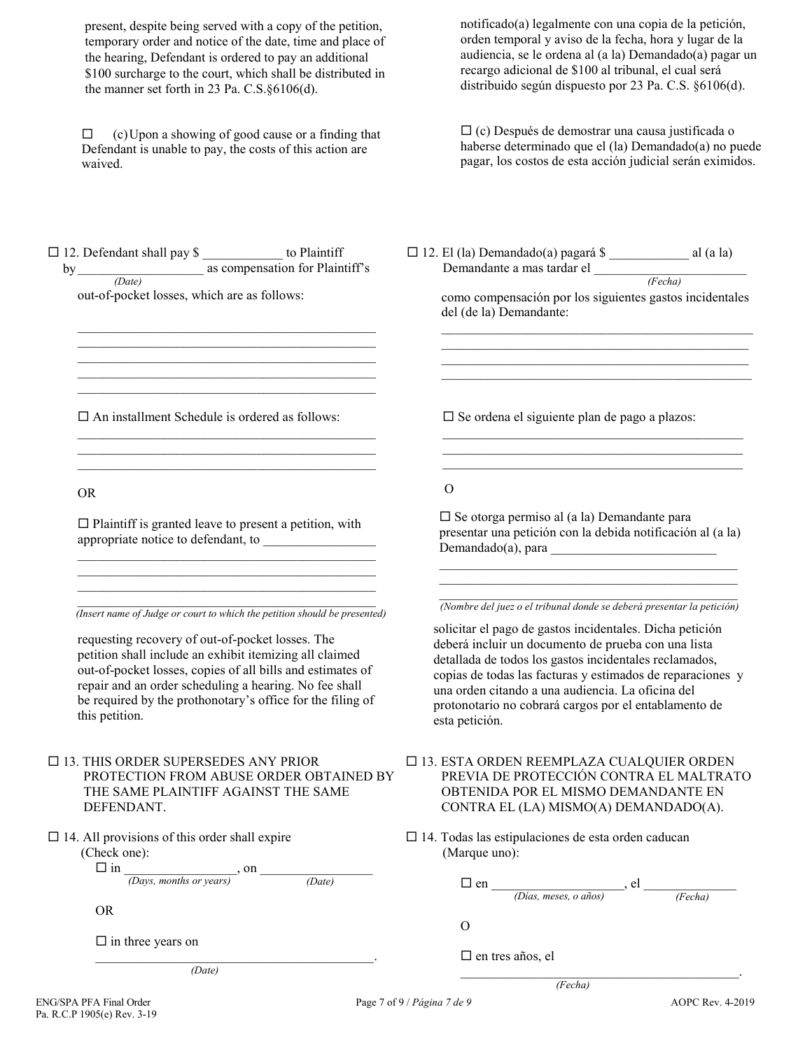present, despite being served with a copy of the petition, temporary order and notice of the date, time and place of the hearing, Defendant is ordered to pay an additional \$100 surcharge to the court, which shall be distributed in the manner set forth in 23 Pa. C.S.§6106(d).

 $\Box$  (c) Upon a showing of good cause or a finding that Defendant is unable to pay, the costs of this action are waived.

notificado(a) legalmente con una copia de la petición, orden temporal y aviso de la fecha, hora y lugar de la audiencia, se le ordena al (a la) Demandado(a) pagar un recargo adicional de \$100 al tribunal, el cual será distribuido según dispuesto por 23 Pa. C.S. §6106(d).

 (c) Después de demostrar una causa justificada o haberse determinado que el (la) Demandado(a) no puede pagar, los costos de esta acción judicial serán eximidos.

*(Fecha)*

 $\Box$  12. Defendant shall pay \$ \_\_\_\_\_\_\_\_\_\_\_\_ to Plaintiff by\_\_\_\_\_\_\_\_\_\_\_\_\_\_\_\_\_\_\_ as compensation for Plaintiff's *(Date)*

 $\mathcal{L}_\text{max}$  and  $\mathcal{L}_\text{max}$  and  $\mathcal{L}_\text{max}$  and  $\mathcal{L}_\text{max}$  $\mathcal{L}_\mathcal{L} = \{ \mathcal{L}_\mathcal{L} = \{ \mathcal{L}_\mathcal{L} = \{ \mathcal{L}_\mathcal{L} = \{ \mathcal{L}_\mathcal{L} = \{ \mathcal{L}_\mathcal{L} = \{ \mathcal{L}_\mathcal{L} = \{ \mathcal{L}_\mathcal{L} = \{ \mathcal{L}_\mathcal{L} = \{ \mathcal{L}_\mathcal{L} = \{ \mathcal{L}_\mathcal{L} = \{ \mathcal{L}_\mathcal{L} = \{ \mathcal{L}_\mathcal{L} = \{ \mathcal{L}_\mathcal{L} = \{ \mathcal{L}_\mathcal{$  $\mathcal{L}_\mathcal{L} = \{ \mathcal{L}_\mathcal{L} = \{ \mathcal{L}_\mathcal{L} = \{ \mathcal{L}_\mathcal{L} = \{ \mathcal{L}_\mathcal{L} = \{ \mathcal{L}_\mathcal{L} = \{ \mathcal{L}_\mathcal{L} = \{ \mathcal{L}_\mathcal{L} = \{ \mathcal{L}_\mathcal{L} = \{ \mathcal{L}_\mathcal{L} = \{ \mathcal{L}_\mathcal{L} = \{ \mathcal{L}_\mathcal{L} = \{ \mathcal{L}_\mathcal{L} = \{ \mathcal{L}_\mathcal{L} = \{ \mathcal{L}_\mathcal{$ \_\_\_\_\_\_\_\_\_\_\_\_\_\_\_\_\_\_\_\_\_\_\_\_\_\_\_\_\_\_\_\_\_\_\_\_\_\_\_\_\_\_\_\_\_ \_\_\_\_\_\_\_\_\_\_\_\_\_\_\_\_\_\_\_\_\_\_\_\_\_\_\_\_\_\_\_\_\_\_\_\_\_\_\_\_\_\_\_\_\_

out-of-pocket losses, which are as follows:

 $\square$  An installment Schedule is ordered as follows:

 $\mathcal{L}_\mathcal{L} = \{ \mathcal{L}_\mathcal{L} = \{ \mathcal{L}_\mathcal{L} = \{ \mathcal{L}_\mathcal{L} = \{ \mathcal{L}_\mathcal{L} = \{ \mathcal{L}_\mathcal{L} = \{ \mathcal{L}_\mathcal{L} = \{ \mathcal{L}_\mathcal{L} = \{ \mathcal{L}_\mathcal{L} = \{ \mathcal{L}_\mathcal{L} = \{ \mathcal{L}_\mathcal{L} = \{ \mathcal{L}_\mathcal{L} = \{ \mathcal{L}_\mathcal{L} = \{ \mathcal{L}_\mathcal{L} = \{ \mathcal{L}_\mathcal{$  $\mathcal{L}_\mathcal{L} = \{ \mathcal{L}_\mathcal{L} = \{ \mathcal{L}_\mathcal{L} = \{ \mathcal{L}_\mathcal{L} = \{ \mathcal{L}_\mathcal{L} = \{ \mathcal{L}_\mathcal{L} = \{ \mathcal{L}_\mathcal{L} = \{ \mathcal{L}_\mathcal{L} = \{ \mathcal{L}_\mathcal{L} = \{ \mathcal{L}_\mathcal{L} = \{ \mathcal{L}_\mathcal{L} = \{ \mathcal{L}_\mathcal{L} = \{ \mathcal{L}_\mathcal{L} = \{ \mathcal{L}_\mathcal{L} = \{ \mathcal{L}_\mathcal{$  $\mathcal{L}_\text{max}$  and  $\mathcal{L}_\text{max}$  and  $\mathcal{L}_\text{max}$  and  $\mathcal{L}_\text{max}$ 

OR

 $\square$  Plaintiff is granted leave to present a petition, with appropriate notice to defendant, to \_\_\_\_\_\_\_\_\_\_\_\_\_\_\_\_\_  $\mathcal{L}_\mathcal{L} = \{ \mathcal{L}_\mathcal{L} = \{ \mathcal{L}_\mathcal{L} = \{ \mathcal{L}_\mathcal{L} = \{ \mathcal{L}_\mathcal{L} = \{ \mathcal{L}_\mathcal{L} = \{ \mathcal{L}_\mathcal{L} = \{ \mathcal{L}_\mathcal{L} = \{ \mathcal{L}_\mathcal{L} = \{ \mathcal{L}_\mathcal{L} = \{ \mathcal{L}_\mathcal{L} = \{ \mathcal{L}_\mathcal{L} = \{ \mathcal{L}_\mathcal{L} = \{ \mathcal{L}_\mathcal{L} = \{ \mathcal{L}_\mathcal{$ 

 $\mathcal{L}_\text{max}$  and  $\mathcal{L}_\text{max}$  and  $\mathcal{L}_\text{max}$  and  $\mathcal{L}_\text{max}$  *(Insert name of Judge or court to which the petition should be presented)*

 $\mathcal{L}_\mathcal{L} = \{ \mathcal{L}_\mathcal{L} = \{ \mathcal{L}_\mathcal{L} = \{ \mathcal{L}_\mathcal{L} = \{ \mathcal{L}_\mathcal{L} = \{ \mathcal{L}_\mathcal{L} = \{ \mathcal{L}_\mathcal{L} = \{ \mathcal{L}_\mathcal{L} = \{ \mathcal{L}_\mathcal{L} = \{ \mathcal{L}_\mathcal{L} = \{ \mathcal{L}_\mathcal{L} = \{ \mathcal{L}_\mathcal{L} = \{ \mathcal{L}_\mathcal{L} = \{ \mathcal{L}_\mathcal{L} = \{ \mathcal{L}_\mathcal{$  $\mathcal{L}_\mathcal{L} = \{ \mathcal{L}_\mathcal{L} = \{ \mathcal{L}_\mathcal{L} = \{ \mathcal{L}_\mathcal{L} = \{ \mathcal{L}_\mathcal{L} = \{ \mathcal{L}_\mathcal{L} = \{ \mathcal{L}_\mathcal{L} = \{ \mathcal{L}_\mathcal{L} = \{ \mathcal{L}_\mathcal{L} = \{ \mathcal{L}_\mathcal{L} = \{ \mathcal{L}_\mathcal{L} = \{ \mathcal{L}_\mathcal{L} = \{ \mathcal{L}_\mathcal{L} = \{ \mathcal{L}_\mathcal{L} = \{ \mathcal{L}_\mathcal{$ 

requesting recovery of out-of-pocket losses. The petition shall include an exhibit itemizing all claimed out-of-pocket losses, copies of all bills and estimates of repair and an order scheduling a hearing. No fee shall be required by the prothonotary's office for the filing of this petition.

 $\Box$  13. THIS ORDER SUPERSEDES ANY PRIOR PROTECTION FROM ABUSE ORDER OBTAINED BY THE SAME PLAINTIFF AGAINST THE SAME DEFENDANT.

 $\Box$  14. All provisions of this order shall expire (Check one):

in \_\_\_\_\_\_\_\_\_\_\_\_\_\_\_\_\_, on \_\_\_\_\_\_\_\_\_\_\_\_\_\_\_\_\_

*(Days, months or years) (Date)*

\_\_\_\_\_\_\_\_\_\_\_\_\_\_\_\_\_\_\_\_\_\_\_\_\_\_\_\_\_\_\_\_\_\_\_\_\_\_\_\_\_\_.

OR

 $\square$  in three years on

*(Date)*

 $\square$  Se ordena el siguiente plan de pago a plazos:

12. El (la) Demandado(a) pagará \$ \_\_\_\_\_\_\_\_\_\_\_\_ al (a la)

como compensación por los siguientes gastos incidentales

 $\_$  . The contribution of the contribution of  $\mathcal{L}_\mathcal{A}$  $\_$  , and the set of the set of the set of the set of the set of the set of the set of the set of the set of the set of the set of the set of the set of the set of the set of the set of the set of the set of the set of th  $\mathcal{L}_\text{max}$  and  $\mathcal{L}_\text{max}$  and  $\mathcal{L}_\text{max}$  and  $\mathcal{L}_\text{max}$  and  $\mathcal{L}_\text{max}$ \_\_\_\_\_\_\_\_\_\_\_\_\_\_\_\_\_\_\_\_\_\_\_\_\_\_\_\_\_\_\_\_\_\_\_\_\_\_\_\_\_\_\_\_\_\_\_

Demandante a mas tardar el \_\_\_\_\_\_\_\_\_\_\_\_\_\_\_\_\_\_\_\_\_\_\_

del (de la) Demandante:

O

 $\square$  Se otorga permiso al (a la) Demandante para presentar una petición con la debida notificación al (a la)  $Demandado(a), para$ 

\_\_\_\_\_\_\_\_\_\_\_\_\_\_\_\_\_\_\_\_\_\_\_\_\_\_\_\_\_\_\_\_\_\_\_\_\_\_\_\_\_\_\_\_\_ \_\_\_\_\_\_\_\_\_\_\_\_\_\_\_\_\_\_\_\_\_\_\_\_\_\_\_\_\_\_\_\_\_\_\_\_\_\_\_\_\_\_\_\_\_

 $\mathcal{L}_\mathcal{L}$  , and the set of the set of the set of the set of the set of the set of the set of the set of the set of the set of the set of the set of the set of the set of the set of the set of the set of the set of th \_\_\_\_\_\_\_\_\_\_\_\_\_\_\_\_\_\_\_\_\_\_\_\_\_\_\_\_\_\_\_\_\_\_\_\_\_\_\_\_\_\_\_\_\_  $\overline{a_1}$  ,  $\overline{a_2}$  ,  $\overline{a_3}$  ,  $\overline{a_4}$  ,  $\overline{a_5}$  ,  $\overline{a_6}$  ,  $\overline{a_7}$  ,  $\overline{a_8}$  ,  $\overline{a_9}$  ,  $\overline{a_9}$  ,  $\overline{a_9}$  ,  $\overline{a_9}$  ,  $\overline{a_9}$  ,  $\overline{a_9}$  ,  $\overline{a_9}$  ,  $\overline{a_9}$  ,  $\overline{a_9}$  ,

\_\_\_\_\_\_\_\_\_\_\_\_\_\_\_\_\_\_\_\_\_\_\_\_\_\_\_\_\_\_\_\_\_\_\_\_\_\_\_\_\_\_\_\_\_  *(Nombre del juez o el tribunal donde se deberá presentar la petición)* 

solicitar el pago de gastos incidentales. Dicha petición deberá incluir un documento de prueba con una lista detallada de todos los gastos incidentales reclamados, copias de todas las facturas y estimados de reparaciones y una orden citando a una audiencia. La oficina del protonotario no cobrará cargos por el entablamento de esta petición.

- 13. ESTA ORDEN REEMPLAZA CUALQUIER ORDEN PREVIA DE PROTECCIÓN CONTRA EL MALTRATO OBTENIDA POR EL MISMO DEMANDANTE EN CONTRA EL (LA) MISMO(A) DEMANDADO(A).
- $\square$  14. Todas las estipulaciones de esta orden caducan (Marque uno):

 $\square$  en  $\Box$  en  $\Box$ *(Días, meses, o años) (Fecha)*

 $\mathcal{L}_\mathcal{L} = \mathcal{L}_\mathcal{L} = \mathcal{L}_\mathcal{L} = \mathcal{L}_\mathcal{L} = \mathcal{L}_\mathcal{L} = \mathcal{L}_\mathcal{L} = \mathcal{L}_\mathcal{L} = \mathcal{L}_\mathcal{L} = \mathcal{L}_\mathcal{L} = \mathcal{L}_\mathcal{L} = \mathcal{L}_\mathcal{L} = \mathcal{L}_\mathcal{L} = \mathcal{L}_\mathcal{L} = \mathcal{L}_\mathcal{L} = \mathcal{L}_\mathcal{L} = \mathcal{L}_\mathcal{L} = \mathcal{L}_\mathcal{L}$ 

O

 $\square$  en tres años, el

*(Fecha)*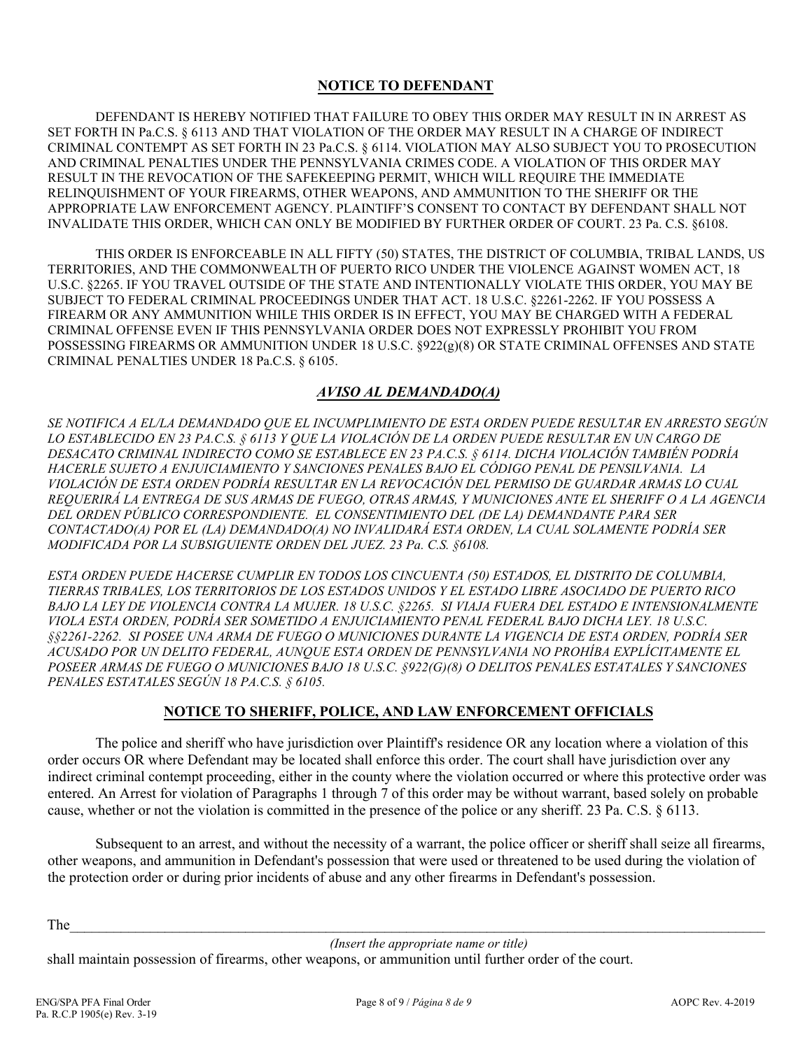### **NOTICE TO DEFENDANT**

DEFENDANT IS HEREBY NOTIFIED THAT FAILURE TO OBEY THIS ORDER MAY RESULT IN IN ARREST AS SET FORTH IN Pa.C.S. § 6113 AND THAT VIOLATION OF THE ORDER MAY RESULT IN A CHARGE OF INDIRECT CRIMINAL CONTEMPT AS SET FORTH IN 23 Pa.C.S. § 6114. VIOLATION MAY ALSO SUBJECT YOU TO PROSECUTION AND CRIMINAL PENALTIES UNDER THE PENNSYLVANIA CRIMES CODE. A VIOLATION OF THIS ORDER MAY RESULT IN THE REVOCATION OF THE SAFEKEEPING PERMIT, WHICH WILL REQUIRE THE IMMEDIATE RELINQUISHMENT OF YOUR FIREARMS, OTHER WEAPONS, AND AMMUNITION TO THE SHERIFF OR THE APPROPRIATE LAW ENFORCEMENT AGENCY. PLAINTIFF'S CONSENT TO CONTACT BY DEFENDANT SHALL NOT INVALIDATE THIS ORDER, WHICH CAN ONLY BE MODIFIED BY FURTHER ORDER OF COURT. 23 Pa. C.S. §6108.

THIS ORDER IS ENFORCEABLE IN ALL FIFTY (50) STATES, THE DISTRICT OF COLUMBIA, TRIBAL LANDS, US TERRITORIES, AND THE COMMONWEALTH OF PUERTO RICO UNDER THE VIOLENCE AGAINST WOMEN ACT, 18 U.S.C. §2265. IF YOU TRAVEL OUTSIDE OF THE STATE AND INTENTIONALLY VIOLATE THIS ORDER, YOU MAY BE SUBJECT TO FEDERAL CRIMINAL PROCEEDINGS UNDER THAT ACT. 18 U.S.C. §2261-2262. IF YOU POSSESS A FIREARM OR ANY AMMUNITION WHILE THIS ORDER IS IN EFFECT, YOU MAY BE CHARGED WITH A FEDERAL CRIMINAL OFFENSE EVEN IF THIS PENNSYLVANIA ORDER DOES NOT EXPRESSLY PROHIBIT YOU FROM POSSESSING FIREARMS OR AMMUNITION UNDER 18 U.S.C. §922(g)(8) OR STATE CRIMINAL OFFENSES AND STATE CRIMINAL PENALTIES UNDER 18 Pa.C.S. § 6105.

# *AVISO AL DEMANDADO(A)*

*SE NOTIFICA A EL/LA DEMANDADO QUE EL INCUMPLIMIENTO DE ESTA ORDEN PUEDE RESULTAR EN ARRESTO SEGÚN LO ESTABLECIDO EN 23 PA.C.S. § 6113 Y QUE LA VIOLACIÓN DE LA ORDEN PUEDE RESULTAR EN UN CARGO DE DESACATO CRIMINAL INDIRECTO COMO SE ESTABLECE EN 23 PA.C.S. § 6114. DICHA VIOLACIÓN TAMBIÉN PODRÍA HACERLE SUJETO A ENJUICIAMIENTO Y SANCIONES PENALES BAJO EL CÓDIGO PENAL DE PENSILVANIA. LA VIOLACIÓN DE ESTA ORDEN PODRÍA RESULTAR EN LA REVOCACIÓN DEL PERMISO DE GUARDAR ARMAS LO CUAL REQUERIRÁ LA ENTREGA DE SUS ARMAS DE FUEGO, OTRAS ARMAS, Y MUNICIONES ANTE EL SHERIFF O A LA AGENCIA DEL ORDEN PÚBLICO CORRESPONDIENTE. EL CONSENTIMIENTO DEL (DE LA) DEMANDANTE PARA SER CONTACTADO(A) POR EL (LA) DEMANDADO(A) NO INVALIDARÁ ESTA ORDEN, LA CUAL SOLAMENTE PODRÍA SER MODIFICADA POR LA SUBSIGUIENTE ORDEN DEL JUEZ. 23 Pa. C.S. §6108.* 

*ESTA ORDEN PUEDE HACERSE CUMPLIR EN TODOS LOS CINCUENTA (50) ESTADOS, EL DISTRITO DE COLUMBIA, TIERRAS TRIBALES, LOS TERRITORIOS DE LOS ESTADOS UNIDOS Y EL ESTADO LIBRE ASOCIADO DE PUERTO RICO BAJO LA LEY DE VIOLENCIA CONTRA LA MUJER. 18 U.S.C. §2265. SI VIAJA FUERA DEL ESTADO E INTENSIONALMENTE VIOLA ESTA ORDEN, PODRÍA SER SOMETIDO A ENJUICIAMIENTO PENAL FEDERAL BAJO DICHA LEY. 18 U.S.C. §§2261-2262. SI POSEE UNA ARMA DE FUEGO O MUNICIONES DURANTE LA VIGENCIA DE ESTA ORDEN, PODRÍA SER ACUSADO POR UN DELITO FEDERAL, AUNQUE ESTA ORDEN DE PENNSYLVANIA NO PROHÍBA EXPLÍCITAMENTE EL POSEER ARMAS DE FUEGO O MUNICIONES BAJO 18 U.S.C. §922(G)(8) O DELITOS PENALES ESTATALES Y SANCIONES PENALES ESTATALES SEGÚN 18 PA.C.S. § 6105.*

# **NOTICE TO SHERIFF, POLICE, AND LAW ENFORCEMENT OFFICIALS**

The police and sheriff who have jurisdiction over Plaintiff's residence OR any location where a violation of this order occurs OR where Defendant may be located shall enforce this order. The court shall have jurisdiction over any indirect criminal contempt proceeding, either in the county where the violation occurred or where this protective order was entered. An Arrest for violation of Paragraphs 1 through 7 of this order may be without warrant, based solely on probable cause, whether or not the violation is committed in the presence of the police or any sheriff. 23 Pa. C.S. § 6113.

Subsequent to an arrest, and without the necessity of a warrant, the police officer or sheriff shall seize all firearms, other weapons, and ammunition in Defendant's possession that were used or threatened to be used during the violation of the protection order or during prior incidents of abuse and any other firearms in Defendant's possession.

The  $\Box$ 

 *(Insert the appropriate name or title)* 

shall maintain possession of firearms, other weapons, or ammunition until further order of the court.